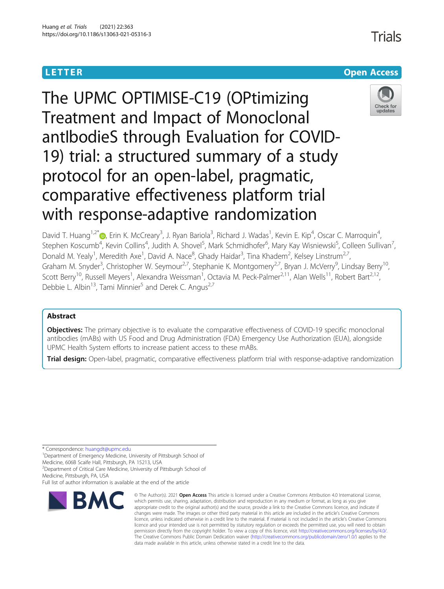# **LETTER CONSTRUCTION CONSTRUCTION**



Trials

The UPMC OPTIMISE-C19 (OPtimizing Treatment and Impact of Monoclonal antIbodieS through Evaluation for COVID-19) trial: a structured summary of a study protocol for an open-label, pragmatic, comparative effectiveness platform trial with response-adaptive randomization

David T. Huang<sup>1,2[\\*](http://orcid.org/0000-0001-7649-1633)</sup> (@, Erin K. McCreary<sup>3</sup>, J. Ryan Bariola<sup>3</sup>, Richard J. Wadas<sup>1</sup>, Kevin E. Kip<sup>4</sup>, Oscar C. Marroquin<sup>4</sup> , Stephen Koscumb<sup>4</sup>, Kevin Collins<sup>4</sup>, Judith A. Shovel<sup>5</sup>, Mark Schmidhofer<sup>6</sup>, Mary Kay Wisniewski<sup>5</sup>, Colleen Sullivan<sup>7</sup> , Donald M. Yealy<sup>1</sup>, Meredith Axe<sup>1</sup>, David A. Nace<sup>8</sup>, Ghady Haidar<sup>3</sup>, Tina Khadem<sup>2</sup>, Kelsey Linstrum<sup>2,7</sup>, Graham M. Snyder<sup>3</sup>, Christopher W. Seymour<sup>2,7</sup>, Stephanie K. Montgomery<sup>2,7</sup>, Bryan J. McVerry<sup>9</sup>, Lindsay Berry<sup>10</sup>, Scott Berry<sup>10</sup>, Russell Meyers<sup>1</sup>, Alexandra Weissman<sup>1</sup>, Octavia M. Peck-Palmer<sup>2,11</sup>, Alan Wells<sup>11</sup>, Robert Bart<sup>2,12</sup>, Debbie L. Albin<sup>13</sup>, Tami Minnier<sup>5</sup> and Derek C. Angus<sup>2,7</sup>

## Abstract

**Objectives:** The primary objective is to evaluate the comparative effectiveness of COVID-19 specific monoclonal antibodies (mABs) with US Food and Drug Administration (FDA) Emergency Use Authorization (EUA), alongside UPMC Health System efforts to increase patient access to these mABs.

Trial design: Open-label, pragmatic, comparative effectiveness platform trial with response-adaptive randomization

\* Correspondence: [huangdt@upmc.edu](mailto:huangdt@upmc.edu) <sup>1</sup>

<sup>1</sup>Department of Emergency Medicine, University of Pittsburgh School of Medicine, 606B Scaife Hall, Pittsburgh, PA 15213, USA

<sup>2</sup>Department of Critical Care Medicine, University of Pittsburgh School of

Medicine, Pittsburgh, PA, USA

Full list of author information is available at the end of the article



<sup>©</sup> The Author(s), 2021 **Open Access** This article is licensed under a Creative Commons Attribution 4.0 International License, which permits use, sharing, adaptation, distribution and reproduction in any medium or format, as long as you give appropriate credit to the original author(s) and the source, provide a link to the Creative Commons licence, and indicate if changes were made. The images or other third party material in this article are included in the article's Creative Commons licence, unless indicated otherwise in a credit line to the material. If material is not included in the article's Creative Commons licence and your intended use is not permitted by statutory regulation or exceeds the permitted use, you will need to obtain permission directly from the copyright holder. To view a copy of this licence, visit [http://creativecommons.org/licenses/by/4.0/.](http://creativecommons.org/licenses/by/4.0/) The Creative Commons Public Domain Dedication waiver [\(http://creativecommons.org/publicdomain/zero/1.0/](http://creativecommons.org/publicdomain/zero/1.0/)) applies to the data made available in this article, unless otherwise stated in a credit line to the data.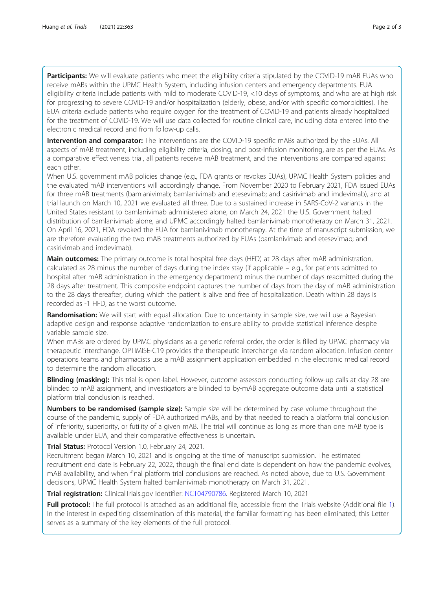Participants: We will evaluate patients who meet the eligibility criteria stipulated by the COVID-19 mAB EUAs who receive mABs within the UPMC Health System, including infusion centers and emergency departments. EUA eligibility criteria include patients with mild to moderate COVID-19, <10 days of symptoms, and who are at high risk for progressing to severe COVID-19 and/or hospitalization (elderly, obese, and/or with specific comorbidities). The EUA criteria exclude patients who require oxygen for the treatment of COVID-19 and patients already hospitalized for the treatment of COVID-19. We will use data collected for routine clinical care, including data entered into the electronic medical record and from follow-up calls.

Intervention and comparator: The interventions are the COVID-19 specific mABs authorized by the EUAs. All aspects of mAB treatment, including eligibility criteria, dosing, and post-infusion monitoring, are as per the EUAs. As a comparative effectiveness trial, all patients receive mAB treatment, and the interventions are compared against each other.

When U.S. government mAB policies change (e.g., FDA grants or revokes EUAs), UPMC Health System policies and the evaluated mAB interventions will accordingly change. From November 2020 to February 2021, FDA issued EUAs for three mAB treatments (bamlanivimab; bamlanivimab and etesevimab; and casirivimab and imdevimab), and at trial launch on March 10, 2021 we evaluated all three. Due to a sustained increase in SARS-CoV-2 variants in the United States resistant to bamlanivimab administered alone, on March 24, 2021 the U.S. Government halted distribution of bamlanivimab alone, and UPMC accordingly halted bamlanivimab monotherapy on March 31, 2021. On April 16, 2021, FDA revoked the EUA for bamlanivimab monotherapy. At the time of manuscript submission, we are therefore evaluating the two mAB treatments authorized by EUAs (bamlanivimab and etesevimab; and casirivimab and imdevimab).

Main outcomes: The primary outcome is total hospital free days (HFD) at 28 days after mAB administration, calculated as 28 minus the number of days during the index stay (if applicable – e.g., for patients admitted to hospital after mAB administration in the emergency department) minus the number of days readmitted during the 28 days after treatment. This composite endpoint captures the number of days from the day of mAB administration to the 28 days thereafter, during which the patient is alive and free of hospitalization. Death within 28 days is recorded as -1 HFD, as the worst outcome.

Randomisation: We will start with equal allocation. Due to uncertainty in sample size, we will use a Bayesian adaptive design and response adaptive randomization to ensure ability to provide statistical inference despite variable sample size.

When mABs are ordered by UPMC physicians as a generic referral order, the order is filled by UPMC pharmacy via therapeutic interchange. OPTIMISE-C19 provides the therapeutic interchange via random allocation. Infusion center operations teams and pharmacists use a mAB assignment application embedded in the electronic medical record to determine the random allocation.

Blinding (masking): This trial is open-label. However, outcome assessors conducting follow-up calls at day 28 are blinded to mAB assignment, and investigators are blinded to by-mAB aggregate outcome data until a statistical platform trial conclusion is reached.

**Numbers to be randomised (sample size):** Sample size will be determined by case volume throughout the course of the pandemic, supply of FDA authorized mABs, and by that needed to reach a platform trial conclusion of inferiority, superiority, or futility of a given mAB. The trial will continue as long as more than one mAB type is available under EUA, and their comparative effectiveness is uncertain.

Trial Status: Protocol Version 1.0, February 24, 2021.

Recruitment began March 10, 2021 and is ongoing at the time of manuscript submission. The estimated recruitment end date is February 22, 2022, though the final end date is dependent on how the pandemic evolves, mAB availability, and when final platform trial conclusions are reached. As noted above, due to U.S. Government decisions, UPMC Health System halted bamlanivimab monotherapy on March 31, 2021.

Trial registration: ClinicalTrials.gov Identifier: [NCT04790786](https://clinicaltrials.gov/ct2/show/NCT04790786). Registered March 10, 2021

Full protocol: The full protocol is attached as an additional file, accessible from the Trials website (Additional file [1\)](#page-2-0). In the interest in expediting dissemination of this material, the familiar formatting has been eliminated; this Letter serves as a summary of the key elements of the full protocol.